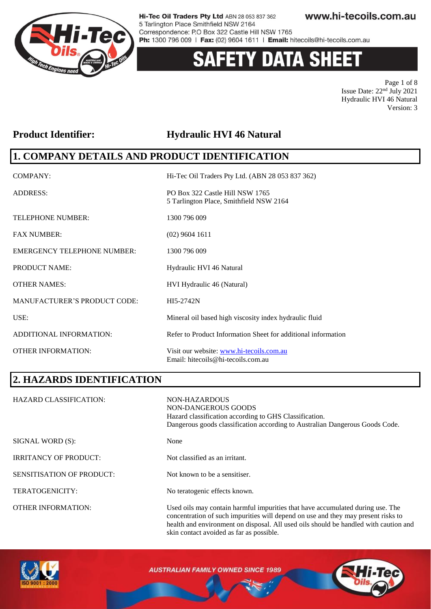

# **ETY DATA SHEET**

Page 1 of 8 Issue Date: 22nd July 2021 Hydraulic HVI 46 Natural Version: 3

### **Product Identifier: Hydraulic HVI 46 Natural**

### **1. COMPANY DETAILS AND PRODUCT IDENTIFICATION**

| COMPANY:                            | Hi-Tec Oil Traders Pty Ltd. (ABN 28 053 837 362)                               |
|-------------------------------------|--------------------------------------------------------------------------------|
| <b>ADDRESS:</b>                     | PO Box 322 Castle Hill NSW 1765<br>5 Tarlington Place, Smithfield NSW 2164     |
| <b>TELEPHONE NUMBER:</b>            | 1300 796 009                                                                   |
| <b>FAX NUMBER:</b>                  | $(02)$ 9604 1611                                                               |
| <b>EMERGENCY TELEPHONE NUMBER:</b>  | 1300 796 009                                                                   |
| <b>PRODUCT NAME:</b>                | Hydraulic HVI 46 Natural                                                       |
| <b>OTHER NAMES:</b>                 | HVI Hydraulic 46 (Natural)                                                     |
| <b>MANUFACTURER'S PRODUCT CODE:</b> | HI5-2742N                                                                      |
| USE:                                | Mineral oil based high viscosity index hydraulic fluid                         |
| ADDITIONAL INFORMATION:             | Refer to Product Information Sheet for additional information                  |
| <b>OTHER INFORMATION:</b>           | Visit our website: www.hi-tecoils.com.au<br>Email: hitecoils@hi-tecoils.com.au |

# **2. HAZARDS IDENTIFICATION**

| <b>HAZARD CLASSIFICATION:</b>    | NON-HAZARDOUS<br>NON-DANGEROUS GOODS<br>Hazard classification according to GHS Classification.<br>Dangerous goods classification according to Australian Dangerous Goods Code.                                                                              |
|----------------------------------|-------------------------------------------------------------------------------------------------------------------------------------------------------------------------------------------------------------------------------------------------------------|
| SIGNAL WORD (S):                 | None                                                                                                                                                                                                                                                        |
| <b>IRRITANCY OF PRODUCT:</b>     | Not classified as an irritant.                                                                                                                                                                                                                              |
| <b>SENSITISATION OF PRODUCT:</b> | Not known to be a sensitiser.                                                                                                                                                                                                                               |
| TERATOGENICITY:                  | No teratogenic effects known.                                                                                                                                                                                                                               |
| <b>OTHER INFORMATION:</b>        | Used oils may contain harmful impurities that have accumulated during use. The<br>concentration of such impurities will depend on use and they may present risks to<br>health and environment on disposal. All used oils should be handled with caution and |



**AUSTRALIAN FAMILY OWNED SINCE 1989** 

skin contact avoided as far as possible.

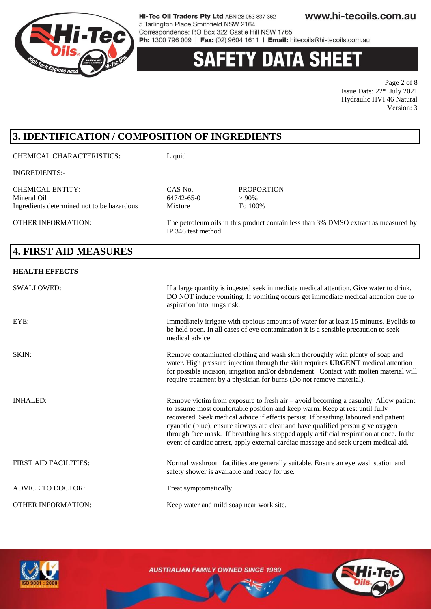

# 'Y DATA SHEE'

Page 2 of 8 Issue Date: 22nd July 2021 Hydraulic HVI 46 Natural Version: 3

# **3. IDENTIFICATION / COMPOSITION OF INGREDIENTS**

CHEMICAL CHARACTERISTICS**:** Liquid

INGREDIENTS:-

CHEMICAL ENTITY: CAS No. PROPORTION Mineral Oil 64742-65-0  $> 90\%$ Ingredients determined not to be hazardous Mixture To 100%

OTHER INFORMATION: The petroleum oils in this product contain less than 3% DMSO extract as measured by IP 346 test method.

# **4. FIRST AID MEASURES**

#### **HEALTH EFFECTS**

| <b>SWALLOWED:</b>            | If a large quantity is ingested seek immediate medical attention. Give water to drink.<br>DO NOT induce vomiting. If vomiting occurs get immediate medical attention due to<br>aspiration into lungs risk.                                                                                                                                                                                                                                                                                                                          |
|------------------------------|-------------------------------------------------------------------------------------------------------------------------------------------------------------------------------------------------------------------------------------------------------------------------------------------------------------------------------------------------------------------------------------------------------------------------------------------------------------------------------------------------------------------------------------|
| EYE:                         | Immediately irrigate with copious amounts of water for at least 15 minutes. Eyelids to<br>be held open. In all cases of eye contamination it is a sensible precaution to seek<br>medical advice.                                                                                                                                                                                                                                                                                                                                    |
| SKIN:                        | Remove contaminated clothing and wash skin thoroughly with plenty of soap and<br>water. High pressure injection through the skin requires <b>URGENT</b> medical attention<br>for possible incision, irrigation and/or debridement. Contact with molten material will<br>require treatment by a physician for burns (Do not remove material).                                                                                                                                                                                        |
| <b>INHALED:</b>              | Remove victim from exposure to fresh air $-$ avoid becoming a casualty. Allow patient<br>to assume most comfortable position and keep warm. Keep at rest until fully<br>recovered. Seek medical advice if effects persist. If breathing laboured and patient<br>cyanotic (blue), ensure airways are clear and have qualified person give oxygen<br>through face mask. If breathing has stopped apply artificial respiration at once. In the<br>event of cardiac arrest, apply external cardiac massage and seek urgent medical aid. |
| <b>FIRST AID FACILITIES:</b> | Normal washroom facilities are generally suitable. Ensure an eye wash station and<br>safety shower is available and ready for use.                                                                                                                                                                                                                                                                                                                                                                                                  |
| <b>ADVICE TO DOCTOR:</b>     | Treat symptomatically.                                                                                                                                                                                                                                                                                                                                                                                                                                                                                                              |
| <b>OTHER INFORMATION:</b>    | Keep water and mild soap near work site.                                                                                                                                                                                                                                                                                                                                                                                                                                                                                            |

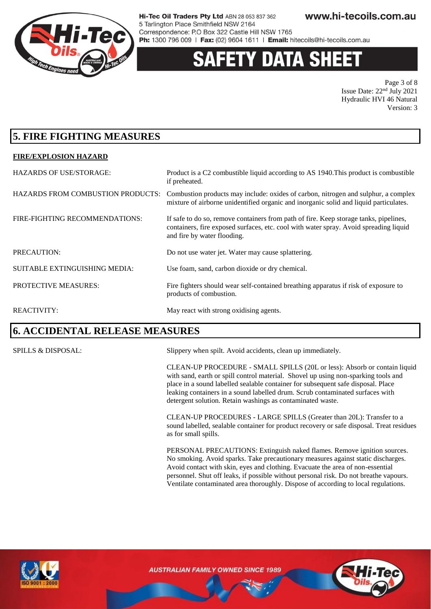

# 'Y DATA SHEE

Page 3 of 8 Issue Date: 22nd July 2021 Hydraulic HVI 46 Natural Version: 3

## **5. FIRE FIGHTING MEASURES**

#### **FIRE/EXPLOSION HAZARD**

| <b>HAZARDS OF USE/STORAGE:</b>           | Product is a C2 combustible liquid according to AS 1940. This product is combustible<br>if preheated.                                                                                                         |
|------------------------------------------|---------------------------------------------------------------------------------------------------------------------------------------------------------------------------------------------------------------|
| <b>HAZARDS FROM COMBUSTION PRODUCTS:</b> | Combustion products may include: oxides of carbon, nitrogen and sulphur, a complex<br>mixture of airborne unidentified organic and inorganic solid and liquid particulates.                                   |
| FIRE-FIGHTING RECOMMENDATIONS:           | If safe to do so, remove containers from path of fire. Keep storage tanks, pipelines,<br>containers, fire exposed surfaces, etc. cool with water spray. Avoid spreading liquid<br>and fire by water flooding. |
| PRECAUTION:                              | Do not use water jet. Water may cause splattering.                                                                                                                                                            |
| <b>SUITABLE EXTINGUISHING MEDIA:</b>     | Use foam, sand, carbon dioxide or dry chemical.                                                                                                                                                               |
| PROTECTIVE MEASURES:                     | Fire fighters should wear self-contained breathing apparatus if risk of exposure to<br>products of combustion.                                                                                                |
| <b>REACTIVITY:</b>                       | May react with strong oxidising agents.                                                                                                                                                                       |

### **6. ACCIDENTAL RELEASE MEASURES**

SPILLS & DISPOSAL: Slippery when spilt. Avoid accidents, clean up immediately.

CLEAN-UP PROCEDURE - SMALL SPILLS (20L or less): Absorb or contain liquid with sand, earth or spill control material. Shovel up using non-sparking tools and place in a sound labelled sealable container for subsequent safe disposal. Place leaking containers in a sound labelled drum. Scrub contaminated surfaces with detergent solution. Retain washings as contaminated waste.

CLEAN-UP PROCEDURES - LARGE SPILLS (Greater than 20L): Transfer to a sound labelled, sealable container for product recovery or safe disposal. Treat residues as for small spills.

PERSONAL PRECAUTIONS: Extinguish naked flames. Remove ignition sources. No smoking. Avoid sparks. Take precautionary measures against static discharges. Avoid contact with skin, eyes and clothing. Evacuate the area of non-essential personnel. Shut off leaks, if possible without personal risk. Do not breathe vapours. Ventilate contaminated area thoroughly. Dispose of according to local regulations.



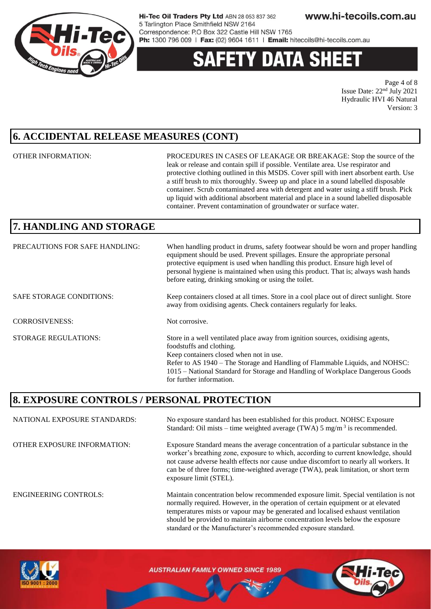

# 'Y DATA SHEE

Page 4 of 8 Issue Date: 22nd July 2021 Hydraulic HVI 46 Natural Version: 3

## **6. ACCIDENTAL RELEASE MEASURES (CONT)**

OTHER INFORMATION: PROCEDURES IN CASES OF LEAKAGE OR BREAKAGE: Stop the source of the leak or release and contain spill if possible. Ventilate area. Use respirator and protective clothing outlined in this MSDS. Cover spill with inert absorbent earth. Use a stiff brush to mix thoroughly. Sweep up and place in a sound labelled disposable container. Scrub contaminated area with detergent and water using a stiff brush. Pick up liquid with additional absorbent material and place in a sound labelled disposable container. Prevent contamination of groundwater or surface water.

should be provided to maintain airborne concentration levels below the exposure

standard or the Manufacturer's recommended exposure standard.

# **7. HANDLING AND STORAGE**

| PRECAUTIONS FOR SAFE HANDLING:  | When handling product in drums, safety footwear should be worn and proper handling<br>equipment should be used. Prevent spillages. Ensure the appropriate personal<br>protective equipment is used when handling this product. Ensure high level of<br>personal hygiene is maintained when using this product. That is; always wash hands<br>before eating, drinking smoking or using the toilet. |
|---------------------------------|---------------------------------------------------------------------------------------------------------------------------------------------------------------------------------------------------------------------------------------------------------------------------------------------------------------------------------------------------------------------------------------------------|
| <b>SAFE STORAGE CONDITIONS:</b> | Keep containers closed at all times. Store in a cool place out of direct sunlight. Store<br>away from oxidising agents. Check containers regularly for leaks.                                                                                                                                                                                                                                     |
| <b>CORROSIVENESS:</b>           | Not corrosive.                                                                                                                                                                                                                                                                                                                                                                                    |
| <b>STORAGE REGULATIONS:</b>     | Store in a well ventilated place away from ignition sources, oxidising agents,<br>foodstuffs and clothing.<br>Keep containers closed when not in use.<br>Refer to AS 1940 – The Storage and Handling of Flammable Liquids, and NOHSC:<br>1015 - National Standard for Storage and Handling of Workplace Dangerous Goods<br>for further information.                                               |

### **8. EXPOSURE CONTROLS / PERSONAL PROTECTION**

NATIONAL EXPOSURE STANDARDS: No exposure standard has been established for this product. NOHSC Exposure Standard: Oil mists – time weighted average (TWA)  $5 \text{ mg/m}^3$  is recommended. OTHER EXPOSURE INFORMATION: Exposure Standard means the average concentration of a particular substance in the worker's breathing zone, exposure to which, according to current knowledge, should not cause adverse health effects nor cause undue discomfort to nearly all workers. It can be of three forms; time-weighted average (TWA), peak limitation, or short term exposure limit (STEL). ENGINEERING CONTROLS: Maintain concentration below recommended exposure limit. Special ventilation is not normally required. However, in the operation of certain equipment or at elevated temperatures mists or vapour may be generated and localised exhaust ventilation

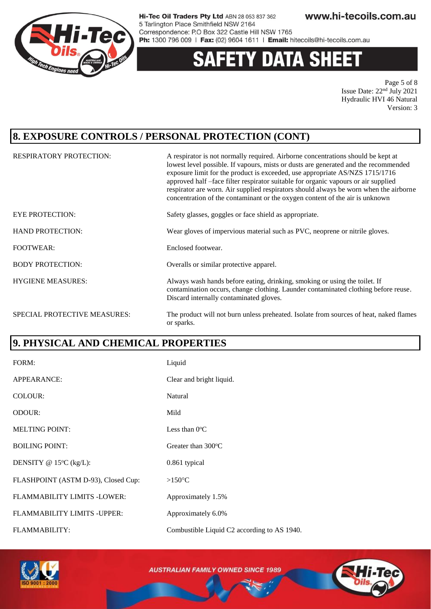

# **Y DATA SHEET**

Page 5 of 8 Issue Date: 22nd July 2021 Hydraulic HVI 46 Natural Version: 3

## **8. EXPOSURE CONTROLS / PERSONAL PROTECTION (CONT)**

| <b>RESPIRATORY PROTECTION:</b> | A respirator is not normally required. Airborne concentrations should be kept at<br>lowest level possible. If vapours, mists or dusts are generated and the recommended<br>exposure limit for the product is exceeded, use appropriate AS/NZS 1715/1716<br>approved half -face filter respirator suitable for organic vapours or air supplied<br>respirator are worn. Air supplied respirators should always be worn when the airborne<br>concentration of the contaminant or the oxygen content of the air is unknown |
|--------------------------------|------------------------------------------------------------------------------------------------------------------------------------------------------------------------------------------------------------------------------------------------------------------------------------------------------------------------------------------------------------------------------------------------------------------------------------------------------------------------------------------------------------------------|
| <b>EYE PROTECTION:</b>         | Safety glasses, goggles or face shield as appropriate.                                                                                                                                                                                                                                                                                                                                                                                                                                                                 |
| <b>HAND PROTECTION:</b>        | Wear gloves of impervious material such as PVC, neoprene or nitrile gloves.                                                                                                                                                                                                                                                                                                                                                                                                                                            |
| <b>FOOTWEAR:</b>               | Enclosed footwear.                                                                                                                                                                                                                                                                                                                                                                                                                                                                                                     |
| <b>BODY PROTECTION:</b>        | Overalls or similar protective apparel.                                                                                                                                                                                                                                                                                                                                                                                                                                                                                |
| <b>HYGIENE MEASURES:</b>       | Always wash hands before eating, drinking, smoking or using the toilet. If<br>contamination occurs, change clothing. Launder contaminated clothing before reuse.<br>Discard internally contaminated gloves.                                                                                                                                                                                                                                                                                                            |
| SPECIAL PROTECTIVE MEASURES:   | The product will not burn unless preheated. Isolate from sources of heat, naked flames<br>or sparks.                                                                                                                                                                                                                                                                                                                                                                                                                   |

### **9. PHYSICAL AND CHEMICAL PROPERTIES**

| FORM:                               | Liquid                                      |
|-------------------------------------|---------------------------------------------|
| APPEARANCE:                         | Clear and bright liquid.                    |
| COLOUR:                             | Natural                                     |
| ODOUR:                              | Mild                                        |
| <b>MELTING POINT:</b>               | Less than $0^{\circ}$ C                     |
| <b>BOILING POINT:</b>               | Greater than $300^{\circ}$ C                |
| DENSITY @ $15^{\circ}C$ (kg/L):     | 0.861 typical                               |
| FLASHPOINT (ASTM D-93), Closed Cup: | $>150^{\circ}$ C                            |
| FLAMMABILITY LIMITS -LOWER:         | Approximately 1.5%                          |
| <b>FLAMMABILITY LIMITS - UPPER:</b> | Approximately 6.0%                          |
| <b>FLAMMABILITY:</b>                | Combustible Liquid C2 according to AS 1940. |



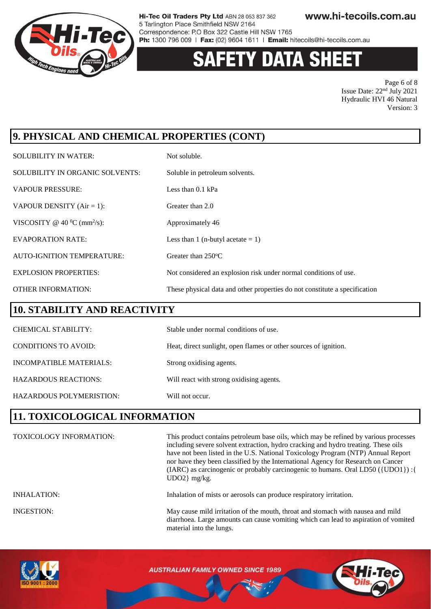

# **Y DATA SHEET**

Page 6 of 8 Issue Date: 22nd July 2021 Hydraulic HVI 46 Natural Version: 3

# **9. PHYSICAL AND CHEMICAL PROPERTIES (CONT)**

| <b>SOLUBILITY IN WATER:</b>                | Not soluble.                                                               |
|--------------------------------------------|----------------------------------------------------------------------------|
| SOLUBILITY IN ORGANIC SOLVENTS:            | Soluble in petroleum solvents.                                             |
| <b>VAPOUR PRESSURE:</b>                    | Less than $0.1$ kPa                                                        |
| VAPOUR DENSITY $(Air = 1)$ :               | Greater than 2.0                                                           |
| VISCOSITY @ 40 $^0C$ (mm <sup>2</sup> /s): | Approximately 46                                                           |
| <b>EVAPORATION RATE:</b>                   | Less than 1 (n-butyl acetate $= 1$ )                                       |
| <b>AUTO-IGNITION TEMPERATURE:</b>          | Greater than $250^{\circ}$ C                                               |
| <b>EXPLOSION PROPERTIES:</b>               | Not considered an explosion risk under normal conditions of use.           |
| <b>OTHER INFORMATION:</b>                  | These physical data and other properties do not constitute a specification |

### **10. STABILITY AND REACTIVITY**

| <b>CHEMICAL STABILITY:</b>      | Stable under normal conditions of use.                           |
|---------------------------------|------------------------------------------------------------------|
| <b>CONDITIONS TO AVOID:</b>     | Heat, direct sunlight, open flames or other sources of ignition. |
| INCOMPATIBLE MATERIALS:         | Strong oxidising agents.                                         |
| <b>HAZARDOUS REACTIONS:</b>     | Will react with strong oxidising agents.                         |
| <b>HAZARDOUS POLYMERISTION:</b> | Will not occur.                                                  |

### **11. TOXICOLOGICAL INFORMATION**

| <b>TOXICOLOGY INFORMATION:</b> | This product contains petroleum base oils, which may be refined by various processes<br>including severe solvent extraction, hydro cracking and hydro treating. These oils<br>have not been listed in the U.S. National Toxicology Program (NTP) Annual Report<br>nor have they been classified by the International Agency for Research on Cancer<br>(IARC) as carcinogenic or probably carcinogenic to humans. Oral LD50 ({UDO1}) : {<br>$UDO2$ } mg/kg. |
|--------------------------------|------------------------------------------------------------------------------------------------------------------------------------------------------------------------------------------------------------------------------------------------------------------------------------------------------------------------------------------------------------------------------------------------------------------------------------------------------------|
| <b>INHALATION:</b>             | Inhalation of mists or aerosols can produce respiratory irritation.                                                                                                                                                                                                                                                                                                                                                                                        |
| INGESTION:                     | May cause mild irritation of the mouth, throat and stomach with nausea and mild<br>diarrhoea. Large amounts can cause vomiting which can lead to aspiration of vomited<br>material into the lungs.                                                                                                                                                                                                                                                         |

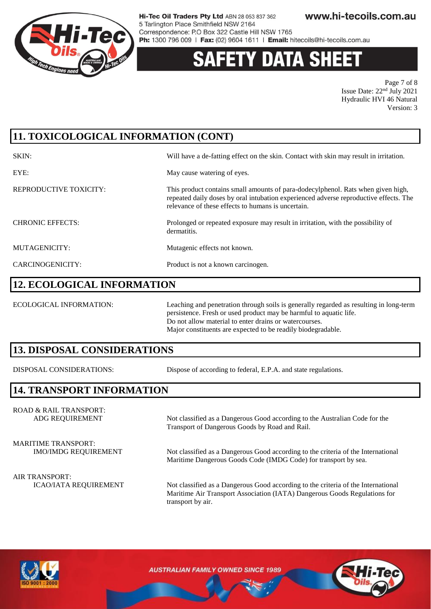

# 'Y DATA SH

Page 7 of 8 Issue Date: 22nd July 2021 Hydraulic HVI 46 Natural Version: 3

# **11. TOXICOLOGICAL INFORMATION (CONT)**

| SKIN:                   | Will have a de-fatting effect on the skin. Contact with skin may result in irritation.                                                                                                                                          |
|-------------------------|---------------------------------------------------------------------------------------------------------------------------------------------------------------------------------------------------------------------------------|
| EYE:                    | May cause watering of eyes.                                                                                                                                                                                                     |
| REPRODUCTIVE TOXICITY:  | This product contains small amounts of para-dodecylphenol. Rats when given high,<br>repeated daily doses by oral intubation experienced adverse reproductive effects. The<br>relevance of these effects to humans is uncertain. |
| <b>CHRONIC EFFECTS:</b> | Prolonged or repeated exposure may result in irritation, with the possibility of<br>dermatitis.                                                                                                                                 |
| MUTAGENICITY:           | Mutagenic effects not known.                                                                                                                                                                                                    |
| CARCINOGENICITY:        | Product is not a known carcinogen.                                                                                                                                                                                              |

### **12. ECOLOGICAL INFORMATION**

ECOLOGICAL INFORMATION: Leaching and penetration through soils is generally regarded as resulting in long-term persistence. Fresh or used product may be harmful to aquatic life. Do not allow material to enter drains or watercourses. Major constituents are expected to be readily biodegradable.

### **13. DISPOSAL CONSIDERATIONS**

DISPOSAL CONSIDERATIONS: Dispose of according to federal, E.P.A. and state regulations.

### **14. TRANSPORT INFORMATION**

ROAD & RAIL TRANSPORT: ADG REQUIREMENT Not classified as a Dangerous Good according to the Australian Code for the

Transport of Dangerous Goods by Road and Rail.

MARITIME TRANSPORT:

IMO/IMDG REQUIREMENT Not classified as a Dangerous Good according to the criteria of the International Maritime Dangerous Goods Code (IMDG Code) for transport by sea.

ICAO/IATA REQUIREMENT Not classified as a Dangerous Good according to the criteria of the International Maritime Air Transport Association (IATA) Dangerous Goods Regulations for transport by air.



AIR TRANSPORT: